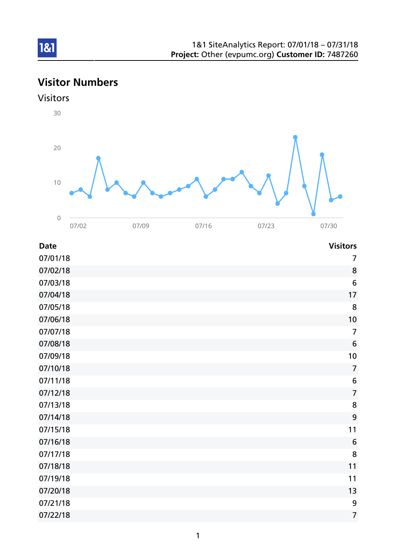# Visitor Numbers



| <b>Date</b> | <b>Visitors</b> |
|-------------|-----------------|
|             |                 |

| 07/01/18 | $\overline{7}$   |
|----------|------------------|
| 07/02/18 | 8                |
| 07/03/18 | $6\phantom{1}6$  |
| 07/04/18 | 17               |
| 07/05/18 | 8                |
| 07/06/18 | 10               |
| 07/07/18 | $\overline{7}$   |
| 07/08/18 | $6\phantom{1}6$  |
| 07/09/18 | 10               |
| 07/10/18 | $\overline{7}$   |
| 07/11/18 | $\boldsymbol{6}$ |
| 07/12/18 | $\overline{7}$   |
| 07/13/18 | 8                |
| 07/14/18 | 9                |
| 07/15/18 | 11               |
| 07/16/18 | $6\,$            |
| 07/17/18 | 8                |
| 07/18/18 | 11               |
| 07/19/18 | 11               |
| 07/20/18 | 13               |
| 07/21/18 | 9                |
| 07/22/18 | $\overline{7}$   |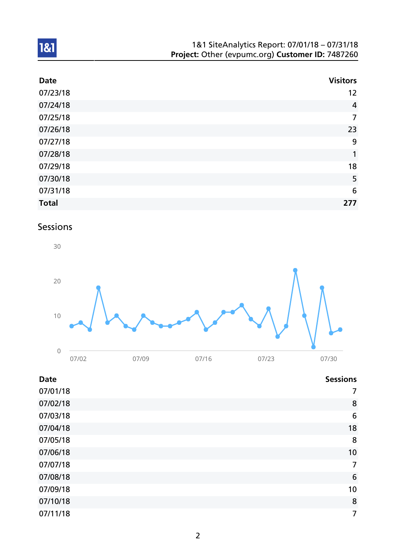| 1&1 SiteAnalytics Report: 07/01/18 - 07/31/18    |
|--------------------------------------------------|
| Project: Other (evpumc.org) Customer ID: 7487260 |

| <b>Date</b>  | <b>Visitors</b> |
|--------------|-----------------|
| 07/23/18     | 12              |
| 07/24/18     | $\overline{4}$  |
| 07/25/18     | 7               |
| 07/26/18     | 23              |
| 07/27/18     | 9               |
| 07/28/18     | 1               |
| 07/29/18     | 18              |
| 07/30/18     | 5               |
| 07/31/18     | 6               |
| <b>Total</b> | 277             |

# Sessions



| <b>Date</b> | <b>Sessions</b> |
|-------------|-----------------|
| 07/01/18    | 7               |
| 07/02/18    | 8               |
| 07/03/18    | 6               |
| 07/04/18    | 18              |
| 07/05/18    | 8               |
| 07/06/18    | 10              |
| 07/07/18    | $\overline{7}$  |
| 07/08/18    | 6               |
| 07/09/18    | 10              |
| 07/10/18    | 8               |
| 07/11/18    | 7               |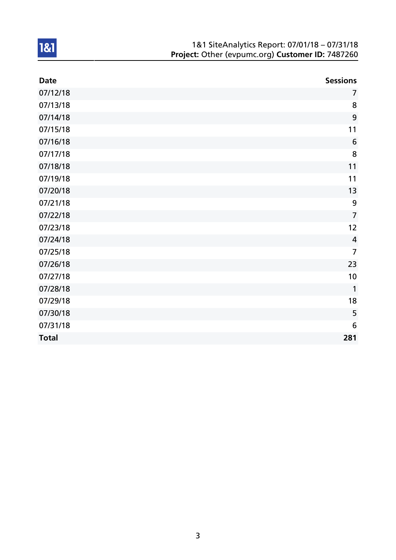| 1&1 SiteAnalytics Report: 07/01/18 - 07/31/18    |
|--------------------------------------------------|
| Project: Other (evpumc.org) Customer ID: 7487260 |

| <b>Date</b>  | <b>Sessions</b> |
|--------------|-----------------|
| 07/12/18     | $\overline{7}$  |
| 07/13/18     | 8               |
| 07/14/18     | 9               |
| 07/15/18     | 11              |
| 07/16/18     | 6               |
| 07/17/18     | 8               |
| 07/18/18     | 11              |
| 07/19/18     | 11              |
| 07/20/18     | 13              |
| 07/21/18     | 9               |
| 07/22/18     | $\overline{7}$  |
| 07/23/18     | 12              |
| 07/24/18     | $\overline{4}$  |
| 07/25/18     | $\overline{7}$  |
| 07/26/18     | 23              |
| 07/27/18     | 10              |
| 07/28/18     | $\mathbf{1}$    |
| 07/29/18     | 18              |
| 07/30/18     | 5               |
| 07/31/18     | 6               |
| <b>Total</b> | 281             |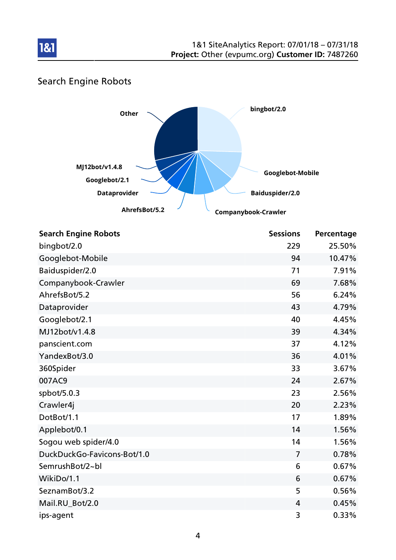

### Search Engine Robots



| <b>Search Engine Robots</b> | <b>Sessions</b> | Percentage |
|-----------------------------|-----------------|------------|
| bingbot/2.0                 | 229             | 25.50%     |
| Googlebot-Mobile            | 94              | 10.47%     |
| Baiduspider/2.0             | 71              | 7.91%      |
| Companybook-Crawler         | 69              | 7.68%      |
| AhrefsBot/5.2               | 56              | 6.24%      |
| Dataprovider                | 43              | 4.79%      |
| Googlebot/2.1               | 40              | 4.45%      |
| MJ12bot/v1.4.8              | 39              | 4.34%      |
| panscient.com               | 37              | 4.12%      |
| YandexBot/3.0               | 36              | 4.01%      |
| 360Spider                   | 33              | 3.67%      |
| 007AC9                      | 24              | 2.67%      |
| spbot/5.0.3                 | 23              | 2.56%      |
| Crawler4j                   | 20              | 2.23%      |
| DotBot/1.1                  | 17              | 1.89%      |
| Applebot/0.1                | 14              | 1.56%      |
| Sogou web spider/4.0        | 14              | 1.56%      |
| DuckDuckGo-Favicons-Bot/1.0 | $\overline{7}$  | 0.78%      |
| SemrushBot/2~bl             | 6               | 0.67%      |
| WikiDo/1.1                  | 6               | 0.67%      |
| SeznamBot/3.2               | 5               | 0.56%      |
| Mail.RU_Bot/2.0             | 4               | 0.45%      |
| ips-agent                   | 3               | 0.33%      |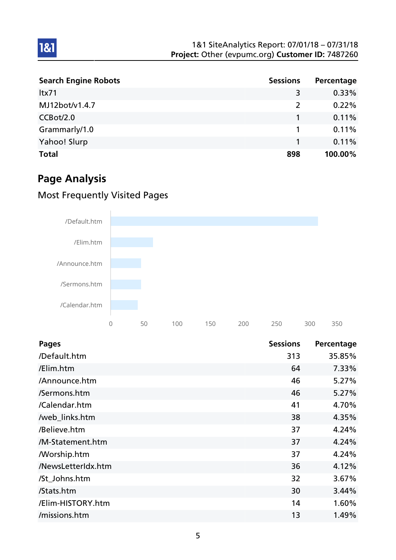| <b>Search Engine Robots</b> | <b>Sessions</b> | Percentage |
|-----------------------------|-----------------|------------|
| Itx71                       | 3               | $0.33\%$   |
| MJ12bot/v1.4.7              | 2               | 0.22%      |
| CCBot/2.0                   |                 | 0.11%      |
| Grammarly/1.0               |                 | 0.11%      |
| Yahoo! Slurp                |                 | 0.11%      |
| <b>Total</b>                | 898             | 100.00%    |

## Page Analysis

1&1

### Most Frequently Visited Pages



| <b>Pages</b>       | <b>Sessions</b> | Percentage |
|--------------------|-----------------|------------|
| /Default.htm       | 313             | 35.85%     |
| /Elim.htm          | 64              | 7.33%      |
| /Announce.htm      | 46              | 5.27%      |
| /Sermons.htm       | 46              | 5.27%      |
| /Calendar.htm      | 41              | 4.70%      |
| /web_links.htm     | 38              | 4.35%      |
| /Believe.htm       | 37              | 4.24%      |
| /M-Statement.htm   | 37              | 4.24%      |
| <b>Morship.htm</b> | 37              | 4.24%      |
| /NewsLetterIdx.htm | 36              | 4.12%      |
| /St_Johns.htm      | 32              | 3.67%      |
| /Stats.htm         | 30              | 3.44%      |
| /Elim-HISTORY.htm  | 14              | 1.60%      |
| /missions.htm      | 13              | 1.49%      |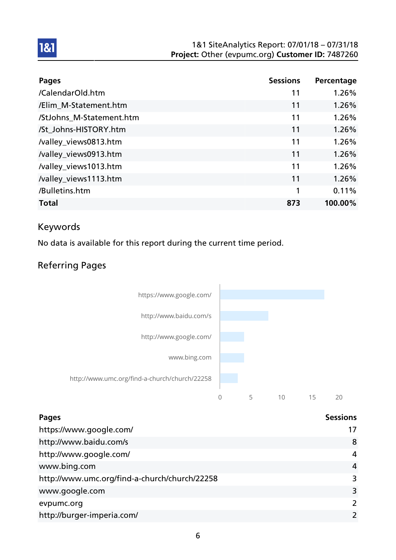#### 1&1 SiteAnalytics Report: 07/01/18 – 07/31/18 Project: Other (evpumc.org) Customer ID: 7487260

| Pages                    | <b>Sessions</b> | Percentage |
|--------------------------|-----------------|------------|
| /CalendarOld.htm         | 11              | 1.26%      |
| /Elim_M-Statement.htm    | 11              | 1.26%      |
| /StJohns_M-Statement.htm | 11              | 1.26%      |
| /St_Johns-HISTORY.htm    | 11              | 1.26%      |
| /valley_views0813.htm    | 11              | 1.26%      |
| /valley_views0913.htm    | 11              | 1.26%      |
| /valley_views1013.htm    | 11              | 1.26%      |
| /valley_views1113.htm    | 11              | 1.26%      |
| /Bulletins.htm           | 1               | 0.11%      |
| <b>Total</b>             | 873             | 100.00%    |

#### Keywords

1&1

No data is available for this report during the current time period.

### Referring Pages



| <b>Pages</b>                                  | <b>Sessions</b> |
|-----------------------------------------------|-----------------|
| https://www.google.com/                       | 17              |
| http://www.baidu.com/s                        | 8               |
| http://www.google.com/                        | 4               |
| www.bing.com                                  | 4               |
| http://www.umc.org/find-a-church/church/22258 | 3               |
| www.google.com                                | 3               |
| evpumc.org                                    | $\overline{2}$  |
| http://burger-imperia.com/                    |                 |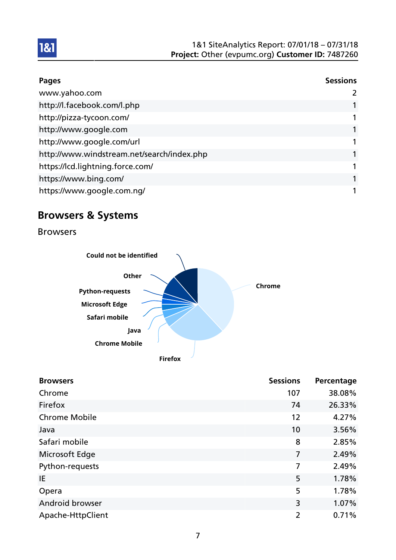| <b>Pages</b>                               | <b>Sessions</b> |
|--------------------------------------------|-----------------|
| www.yahoo.com                              |                 |
| http://l.facebook.com/l.php                |                 |
| http://pizza-tycoon.com/                   |                 |
| http://www.google.com                      |                 |
| http://www.google.com/url                  |                 |
| http://www.windstream.net/search/index.php |                 |
| https://lcd.lightning.force.com/           |                 |
| https://www.bing.com/                      |                 |
| https://www.google.com.nq/                 |                 |

## Browsers & Systems

Browsers



| <b>Browsers</b>      | <b>Sessions</b> | Percentage |
|----------------------|-----------------|------------|
| Chrome               | 107             | 38.08%     |
| Firefox              | 74              | 26.33%     |
| <b>Chrome Mobile</b> | 12              | 4.27%      |
| Java                 | 10              | 3.56%      |
| Safari mobile        | 8               | 2.85%      |
| Microsoft Edge       | 7               | 2.49%      |
| Python-requests      | 7               | 2.49%      |
| IE                   | 5               | 1.78%      |
| Opera                | 5               | 1.78%      |
| Android browser      | 3               | 1.07%      |
| Apache-HttpClient    | $\overline{2}$  | 0.71%      |

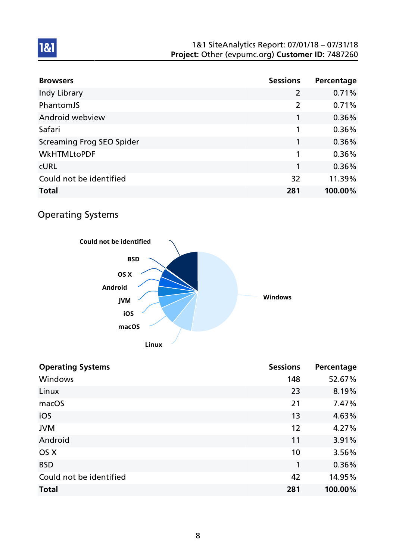#### 1&1 SiteAnalytics Report: 07/01/18 – 07/31/18 Project: Other (evpumc.org) Customer ID: 7487260

| <b>Browsers</b>           | <b>Sessions</b> | Percentage |
|---------------------------|-----------------|------------|
| Indy Library              | $\overline{2}$  | 0.71%      |
| PhantomJS                 | $\overline{2}$  | 0.71%      |
| Android webview           |                 | 0.36%      |
| Safari                    | 1               | 0.36%      |
| Screaming Frog SEO Spider | 1               | 0.36%      |
| <b>WkHTMLtoPDF</b>        | 1               | 0.36%      |
| <b>CURL</b>               | 1               | 0.36%      |
| Could not be identified   | 32              | 11.39%     |
| <b>Total</b>              | 281             | 100.00%    |

### Operating Systems



| <b>Operating Systems</b> | <b>Sessions</b> | Percentage |
|--------------------------|-----------------|------------|
| Windows                  | 148             | 52.67%     |
| Linux                    | 23              | 8.19%      |
| macOS                    | 21              | 7.47%      |
| iOS                      | 13              | 4.63%      |
| <b>JVM</b>               | 12              | 4.27%      |
| Android                  | 11              | 3.91%      |
| OS X                     | 10              | 3.56%      |
| <b>BSD</b>               | 1               | 0.36%      |
| Could not be identified  | 42              | 14.95%     |
| <b>Total</b>             | 281             | 100.00%    |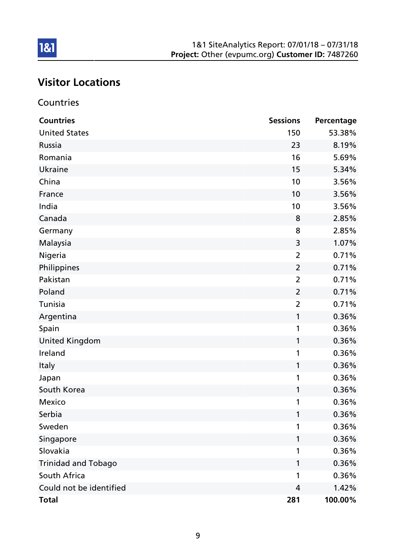# Visitor Locations

### Countries

| <b>Countries</b>           | <b>Sessions</b> | Percentage |
|----------------------------|-----------------|------------|
| <b>United States</b>       | 150             | 53.38%     |
| Russia                     | 23              | 8.19%      |
| Romania                    | 16              | 5.69%      |
| Ukraine                    | 15              | 5.34%      |
| China                      | 10              | 3.56%      |
| France                     | 10              | 3.56%      |
| India                      | 10              | 3.56%      |
| Canada                     | 8               | 2.85%      |
| Germany                    | 8               | 2.85%      |
| Malaysia                   | 3               | 1.07%      |
| Nigeria                    | $\overline{2}$  | 0.71%      |
| Philippines                | $\overline{2}$  | 0.71%      |
| Pakistan                   | $\overline{2}$  | 0.71%      |
| Poland                     | $\overline{2}$  | 0.71%      |
| Tunisia                    | $\overline{2}$  | 0.71%      |
| Argentina                  | 1               | 0.36%      |
| Spain                      | 1               | 0.36%      |
| <b>United Kingdom</b>      | 1               | 0.36%      |
| Ireland                    | 1               | 0.36%      |
| <b>Italy</b>               | 1               | 0.36%      |
| Japan                      | 1               | 0.36%      |
| South Korea                | 1               | 0.36%      |
| Mexico                     | 1               | 0.36%      |
| Serbia                     |                 | 0.36%      |
| Sweden                     | 1               | 0.36%      |
| Singapore                  | 1               | 0.36%      |
| Slovakia                   | 1               | 0.36%      |
| <b>Trinidad and Tobago</b> | 1               | 0.36%      |
| South Africa               | 1               | 0.36%      |
| Could not be identified    | 4               | 1.42%      |
| <b>Total</b>               | 281             | 100.00%    |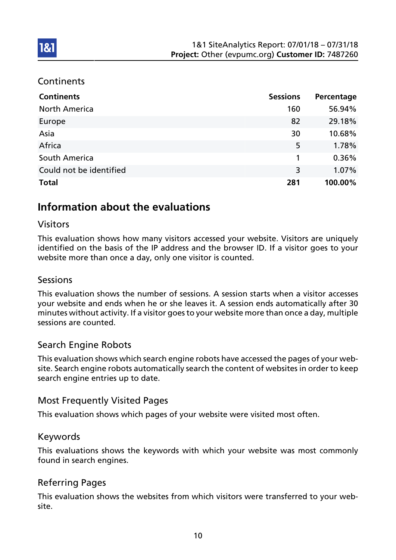#### **Continents**

**1&1** 

| <b>Continents</b>       | <b>Sessions</b> | Percentage |
|-------------------------|-----------------|------------|
| <b>North America</b>    | 160             | 56.94%     |
| Europe                  | 82              | 29.18%     |
| Asia                    | 30              | 10.68%     |
| Africa                  | 5               | 1.78%      |
| South America           | 1               | 0.36%      |
| Could not be identified | 3               | 1.07%      |
| <b>Total</b>            | 281             | 100.00%    |

### Information about the evaluations

#### Visitors

This evaluation shows how many visitors accessed your website. Visitors are uniquely identified on the basis of the IP address and the browser ID. If a visitor goes to your website more than once a day, only one visitor is counted.

#### Sessions

This evaluation shows the number of sessions. A session starts when a visitor accesses your website and ends when he or she leaves it. A session ends automatically after 30 minutes without activity. If a visitor goes to your website more than once a day, multiple sessions are counted.

#### Search Engine Robots

This evaluation shows which search engine robots have accessed the pages of your website. Search engine robots automatically search the content of websites in order to keep search engine entries up to date.

#### Most Frequently Visited Pages

This evaluation shows which pages of your website were visited most often.

#### Keywords

This evaluations shows the keywords with which your website was most commonly found in search engines.

#### Referring Pages

This evaluation shows the websites from which visitors were transferred to your website.